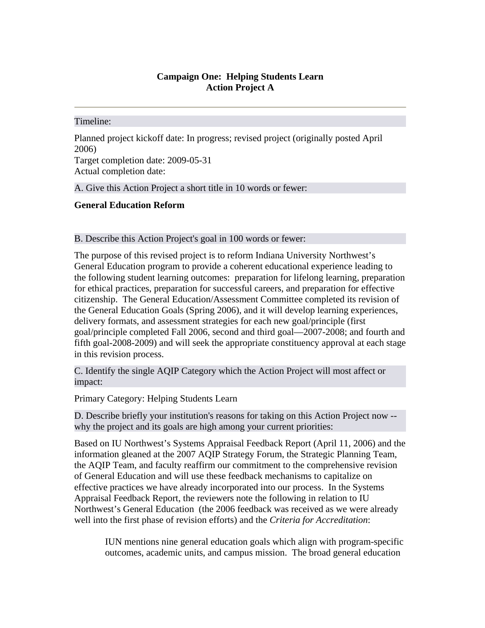## **Campaign One: Helping Students Learn Action Project A**

## Timeline:

Planned project kickoff date: In progress; revised project (originally posted April 2006) Target completion date: 2009-05-31 Actual completion date:

A. Give this Action Project a short title in 10 words or fewer:

## **General Education Reform**

## B. Describe this Action Project's goal in 100 words or fewer:

The purpose of this revised project is to reform Indiana University Northwest's General Education program to provide a coherent educational experience leading to the following student learning outcomes: preparation for lifelong learning, preparation for ethical practices, preparation for successful careers, and preparation for effective citizenship. The General Education/Assessment Committee completed its revision of the General Education Goals (Spring 2006), and it will develop learning experiences, delivery formats, and assessment strategies for each new goal/principle (first goal/principle completed Fall 2006, second and third goal—2007-2008; and fourth and fifth goal-2008-2009) and will seek the appropriate constituency approval at each stage in this revision process.

C. Identify the single AQIP Category which the Action Project will most affect or impact:

Primary Category: Helping Students Learn

D. Describe briefly your institution's reasons for taking on this Action Project now - why the project and its goals are high among your current priorities:

Based on IU Northwest's Systems Appraisal Feedback Report (April 11, 2006) and the information gleaned at the 2007 AQIP Strategy Forum, the Strategic Planning Team, the AQIP Team, and faculty reaffirm our commitment to the comprehensive revision of General Education and will use these feedback mechanisms to capitalize on effective practices we have already incorporated into our process. In the Systems Appraisal Feedback Report, the reviewers note the following in relation to IU Northwest's General Education (the 2006 feedback was received as we were already well into the first phase of revision efforts) and the *Criteria for Accreditation*:

IUN mentions nine general education goals which align with program-specific outcomes, academic units, and campus mission. The broad general education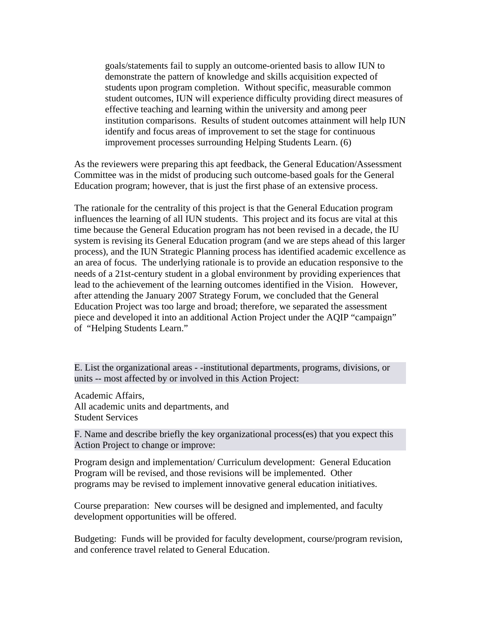goals/statements fail to supply an outcome-oriented basis to allow IUN to demonstrate the pattern of knowledge and skills acquisition expected of students upon program completion. Without specific, measurable common student outcomes, IUN will experience difficulty providing direct measures of effective teaching and learning within the university and among peer institution comparisons. Results of student outcomes attainment will help IUN identify and focus areas of improvement to set the stage for continuous improvement processes surrounding Helping Students Learn. (6)

As the reviewers were preparing this apt feedback, the General Education/Assessment Committee was in the midst of producing such outcome-based goals for the General Education program; however, that is just the first phase of an extensive process.

The rationale for the centrality of this project is that the General Education program influences the learning of all IUN students. This project and its focus are vital at this time because the General Education program has not been revised in a decade, the IU system is revising its General Education program (and we are steps ahead of this larger process), and the IUN Strategic Planning process has identified academic excellence as an area of focus. The underlying rationale is to provide an education responsive to the needs of a 21st-century student in a global environment by providing experiences that lead to the achievement of the learning outcomes identified in the Vision. However, after attending the January 2007 Strategy Forum, we concluded that the General Education Project was too large and broad; therefore, we separated the assessment piece and developed it into an additional Action Project under the AQIP "campaign" of "Helping Students Learn."

E. List the organizational areas - -institutional departments, programs, divisions, or units -- most affected by or involved in this Action Project:

Academic Affairs, All academic units and departments, and Student Services

F. Name and describe briefly the key organizational process(es) that you expect this Action Project to change or improve:

Program design and implementation/ Curriculum development: General Education Program will be revised, and those revisions will be implemented. Other programs may be revised to implement innovative general education initiatives.

Course preparation: New courses will be designed and implemented, and faculty development opportunities will be offered.

Budgeting: Funds will be provided for faculty development, course/program revision, and conference travel related to General Education.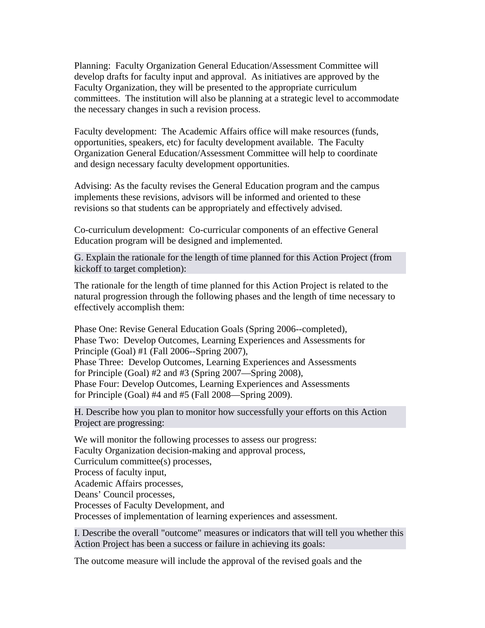Planning: Faculty Organization General Education/Assessment Committee will develop drafts for faculty input and approval. As initiatives are approved by the Faculty Organization, they will be presented to the appropriate curriculum committees. The institution will also be planning at a strategic level to accommodate the necessary changes in such a revision process.

Faculty development: The Academic Affairs office will make resources (funds, opportunities, speakers, etc) for faculty development available. The Faculty Organization General Education/Assessment Committee will help to coordinate and design necessary faculty development opportunities.

Advising: As the faculty revises the General Education program and the campus implements these revisions, advisors will be informed and oriented to these revisions so that students can be appropriately and effectively advised.

Co-curriculum development: Co-curricular components of an effective General Education program will be designed and implemented.

G. Explain the rationale for the length of time planned for this Action Project (from kickoff to target completion):

The rationale for the length of time planned for this Action Project is related to the natural progression through the following phases and the length of time necessary to effectively accomplish them:

Phase One: Revise General Education Goals (Spring 2006--completed), Phase Two: Develop Outcomes, Learning Experiences and Assessments for Principle (Goal) #1 (Fall 2006--Spring 2007), Phase Three: Develop Outcomes, Learning Experiences and Assessments for Principle (Goal) #2 and #3 (Spring 2007—Spring 2008), Phase Four: Develop Outcomes, Learning Experiences and Assessments for Principle (Goal) #4 and #5 (Fall 2008—Spring 2009).

H. Describe how you plan to monitor how successfully your efforts on this Action Project are progressing:

We will monitor the following processes to assess our progress: Faculty Organization decision-making and approval process, Curriculum committee(s) processes, Process of faculty input, Academic Affairs processes, Deans' Council processes, Processes of Faculty Development, and Processes of implementation of learning experiences and assessment.

I. Describe the overall "outcome" measures or indicators that will tell you whether this Action Project has been a success or failure in achieving its goals:

The outcome measure will include the approval of the revised goals and the